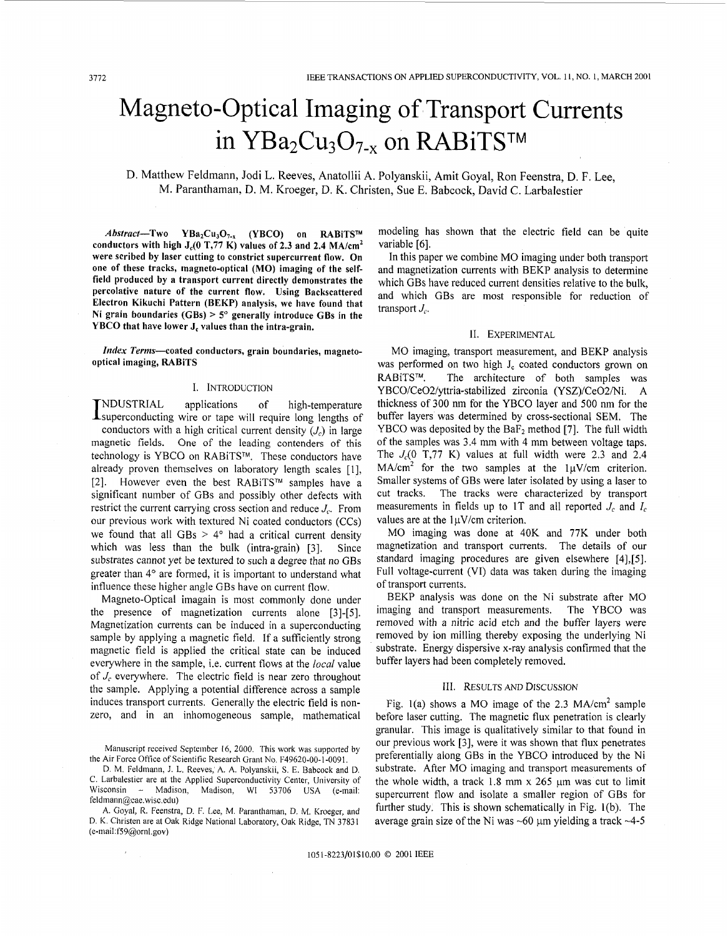# Magneto-Optical Imaging of Transport Currents in  $YBa<sub>2</sub>Cu<sub>3</sub>O<sub>7-x</sub>$  on RABiTS<sup>TM</sup>

D. Matthew Feldmann, Jodi L. Reeves, Anatollii **A.** Polyanskii, Amit Goyal, Ron Feenstra, D. F. Lee, M. Paranthaman, D. M. Kroeger, D. K. Christen, Sue E. Babcock, David C. Larbalestier

Abstract-Two YBa<sub>2</sub>Cu<sub>3</sub>O<sub>7-x</sub> (YBCO) on RABiTS™ **conductors with high J,(O T,77 K) values of 2.3 and 2.4 MA/cm2 were scribed by laser cutting to constrict supercurrent flow. On one of these tracks, magneto-optical (MO) imaging of the selffield produced by a transport current directly demonstrates the percolative nature of the current flow. Using Backscattered Electron Kikuchi Pattern (BEKP) analysis, we have found that Ni grain boundaries (GBs)** > **5" generally introduce GBs in the YBCO that have lower J, values than the intra-grain.** 

*Index* **Terms-coated conductors, grain boundaries, magnetooptical imaging, RABiTS** 

#### I. INTRODUCTION

NDUSTRIAL applications of high-temperature INDUSTRIAL applications of high-temperature<br>Isuperconducting wire or tape will require long lengths of conductors with a high critical current density *(J,)* in large magnetic fields. One of the leading contenders of this technology is YBCO on RABiTS™. These conductors have already proven themselves on laboratory length scales [1], [2]. However even the best RABiTS<sup>™</sup> samples have a significant number of GBs and possibly other defects with restrict the current carrying cross section and reduce  $J_c$ . From our previous work with textured Ni coated conductors (CCs) we found that all GBs  $> 4^{\circ}$  had a critical current density which was less than the bulk (intra-grain) [3]. Since substrates cannot yet be textured to such a degree that no GBs greater than 4° are formed, it is important to understand what influence these higher angle GBs have on current flow.

Magneto-Optical imagain is most commonly done under the presence of magnetization currents alone [3]-[5]. Magnetization currents can be induced in a superconducting sample by applying a magnetic field. If a sufficiently strong magnetic field is applied the critical state can be induced everywhere in the sample, i.e. current flows at the *local* value of  $J_c$  everywhere. The electric field is near zero throughout the sample. Applying a potential difference across a sample induces transport currents. Generally the electric field is nonzero, and in an inhomogeneous sample, mathematical

Manuscript received September **16,** 2000. This work was supported by the Air Force Oftice of Scientific Research Grant No. F49620-00-1-0091,

D. M. Feldmann, J. L. Reeves, A. A. Polyanskii, **S.** E. Babcock and D. C. Larbalestier are at the Applied Superconductivity Center, University of Wisconsin - Madison, Madison, WI 53706 USA (e-mail: feldmann@cae.wisc.edu)

A. Goyal, R. Feenstra, D. F. Lee, M. Paranthaman, D. M. Kroeger, and D. K. Christen are at Oak Ridge National Laboratory, Oak Ridge, TN 37831 (e-mail:f59@ornl.gov)

modeling has shown that the electric field can be quite variable [6].

In this paper we combine MO imaging under both transport and magnetization currents with BEKP analysis to determine which GBs have reduced current densities relative to the bulk, and which GBs are most responsible for reduction of transport *J,.* 

## 11. EXPERIMENTAL

MO imaging, transport measurement, and BEKP analysis was performed on two high  $J_c$  coated conductors grown on RABiTS<sup>™</sup>. The architecture of both samples was YBCO/Ce02/yttria-stabilized zirconia (YSZ)/Ce02/Ni. A thickness of 300 nm for the YBCO layer and 500 nm for the buffer layers was determined by cross-sectional SEM. The YBCO was deposited by the BaF<sub>2</sub> method [7]. The full width of the samples was 3.4 mm with 4 mm between voltage taps. The  $J_c(0, T, 77, K)$  values at full width were 2.3 and 2.4  $MA/cm<sup>2</sup>$  for the two samples at the  $1\mu V/cm$  criterion. Smaller systems of GBs were later isolated by using a laser to cut tracks. The tracks were characterized by transport measurements in fields up to IT and all reported *J,* and *I,*  values are at the  $1\mu$ V/cm criterion.

MO imaging was done at 40K and 77K under both magnetization and transport currents. The details of our standard imaging procedures are given elsewhere [4],[5]. Full voltage-current (VI) data was taken during the imaging of transport currents.

BEKP analysis was done on the Ni substrate after MO imaging and transport measurements. The YBCO was removed with a nitric acid etch and the buffer layers were removed by ion milling thereby exposing the underlying Ni substrate. Energy dispersive x-ray analysis confirmed that the buffer layers had been completely removed.

### 111. RESULTS AND DISCUSSION

Fig. 1(a) shows a MO image of the 2.3  $MA/cm<sup>2</sup>$  sample before laser cutting. The magnetic flux penetration is clearly granular. This image is qualitatively similar to that found in our previous work [3], were it was shown that flux penetrates preferentially along GBs in the YBCO introduced by the Ni substrate. After MO imaging and transport measurements of the whole width, a track 1.8 mm x *265* **pm** was cut to limit supercurrent flow and isolate a smaller region of GBs for further study. This is shown schematically in Fig. l(b). The average grain size of the Ni was  $\sim 60$  µm yielding a track  $\sim 4-5$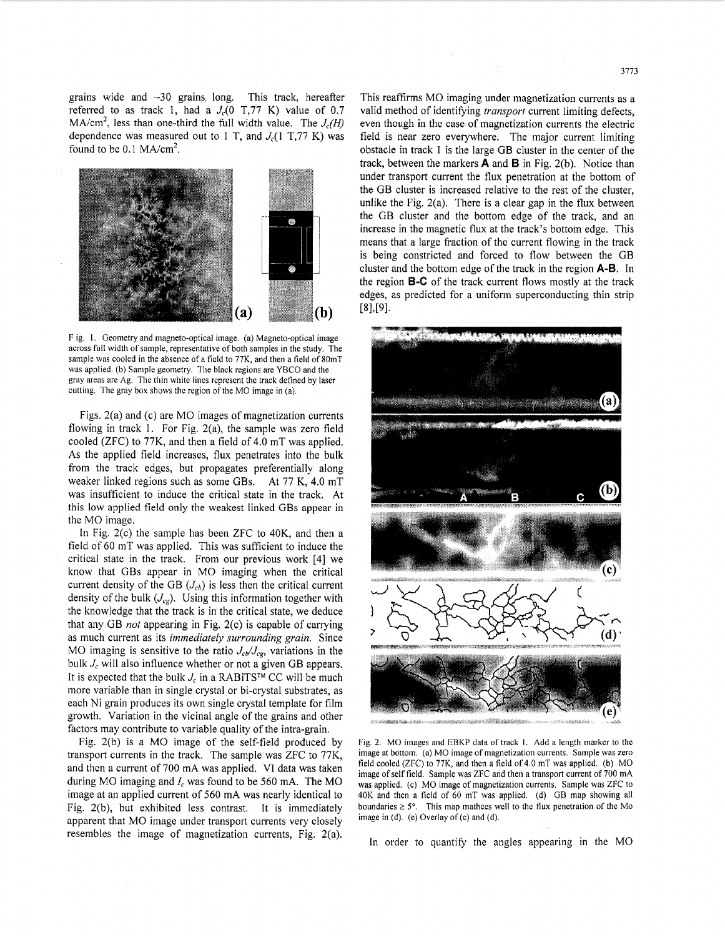grains wide and  $\sim$ 30 grains long. This track, hereafter referred to as track 1, had a  $J_c(0)$  T,77 K) value of 0.7  $MA/cm<sup>2</sup>$ , less than one-third the full width value. The  $J_c(H)$ dependence was measured out to 1 T, and  $J_c(1 \text{ T}, 77 \text{ K})$  was found to be  $0.1$  MA/cm<sup>2</sup>.



F ig. 1. Geometry and magneto-optical image. **(a)** Magneto-optical image across full width of sample, representative of both samples in the study. The sample **was** cooled in the absence of a field to 77K, and then a field of 80mT was applied. (b) Sample geometry. The black regions are **YBCO** and the gray areas are Ag. The thin white lines represent the track defined by laser cutting. The gray box shows the region of the MO image in (a).

Figs. 2(a) and (c) are MO images of magnetization currents flowing in track 1. For Fig. 2(a), the sample was zero field cooled (ZFC) to 77K, and then a field of 4.0 mT was applied. As the applied field increases, flux penetrates into the bulk from the track edges, but propagates preferentially along weaker linked regions such as some GBs. At 77 K, 4.0 mT was insufficient to induce the critical state in the track. At this low applied field only the weakest linked GBs appear in the MO image.

In Fig. 2(c) the sample has been ZFC to 40K, and then a field of 60 mT was applied. This was sufficient to induce the critical state in the track. From our previous work [4] we know that GBs appear in MO imaging when the critical current density of the GB  $(J_{cb})$  is less then the critical current density of the bulk  $(J_{cg})$ . Using this information together with the knowledge that the track is in the critical state, we deduce that any GB *not* appearing in Fig. 2(c) is capable of carrying as much current as its *immediately surrounding grain.* Since MO imaging is sensitive to the ratio  $J_c / J_{cg}$ , variations in the bulk *J<sub>c</sub>* will also influence whether or not a given GB appears. It is expected that the bulk  $J_c$  in a RABiTS<sup>TM</sup> CC will be much more variable than in single crystal or bi-crystal substrates, as each Ni grain produces its own single crystal template for film growth. Variation in the vicinal angle of the grains and other factors may contribute to variable quality of the intra-grain.

Fig. 2(b) is a MO image of the self-field produced by transport currents in the track. The sample was ZFC to 77K, and then a current of 700 mA was applied. VI data was taken during MO imaging and *1,* was found to be 560 mA. The MO image at an applied current of 560 mA was nearly identical to Fig. 2(b), but exhibited less contrast. It is immediately apparent that MO image under transport currents very closely resembles the image of magnetization currents, Fig. 2(a). This reaffirms MO imaging under magnetization currents as a valid method of identifying *transport* current limiting defects, even though in the case of magnetization currents the electric field is near zero everywhere. The major current limiting obstacle in track 1 is the large GB cluster in the center of the track, between the markers **A** and **B** in Fig. 2(b). Notice than under transport current the flux penetration at the bottom of the GB cluster is increased relative to the rest of the cluster, unlike the Fig. 2(a). There is a clear gap in the flux between the GB cluster and the bottom edge of the track, and an increase in the magnetic flux at the track's bottom edge. This means that a large fraction of the current flowing in the track is being constricted and forced to flow between the GB cluster and the bottom edge of the track in the region **A-B.** In the region **B-C** of the track current flows mostly at the track edges, as predicted for a uniform superconducting thin strip



Fig. **2.** MO images and EBKP data of track 1. Add a length marker to the image at bottom. (a) MO image of magnetization currents. Sample was zero field cooled **(ZFC)** to 77K, and then a field of 4.0 mT was applied. (b) MO was applied. (c) MO image of magnetization currents. Sample was ZFC to 40K and then a field of 60 mT was applied. (d) **GB** map showing all boundaries  $\ge 5^\circ$ . This map mathces well to the flux penetration of the Mo image in (d). (e) Overlay of (c) and (d).

In order to quantify the angles appearing in the MO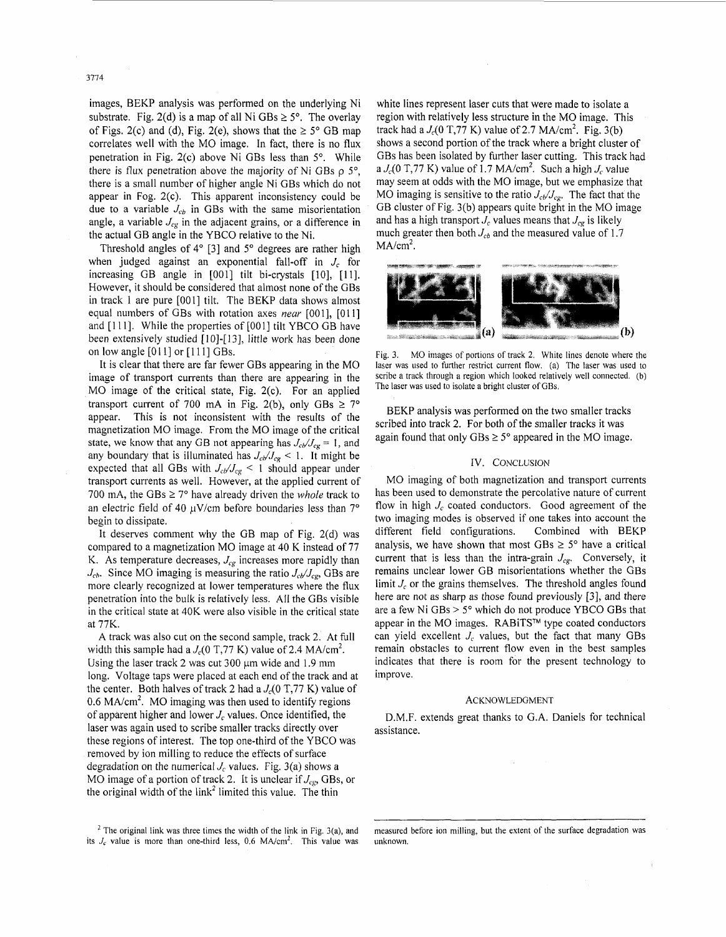images, BEKP analysis was performed on the underlying Ni substrate. Fig. 2(d) is a map of all Ni  $GBs \ge 5^\circ$ . The overlay of Figs. 2(c) and (d), Fig. 2(e), shows that the  $\geq 5^{\circ}$  GB map correlates well with the MO image. In fact, there is no flux penetration in Fig. 2(c) above Ni GBs less than *5".* While there is flux penetration above the majority of Ni GBs p *5",*  there is a small number of higher angle Ni GBs which do not appear in Fog. 2(c). This apparent inconsistency could be due to a variable  $J_{cb}$  in GBs with the same misorientation angle, a variable  $J_{cg}$  in the adjacent grains, or a difference in the actual GB angle in the YBCO relative to the Ni.

Threshold angles of 4" [3] and *5"* degrees are rather high when judged against an exponential fall-off in *J,* for increasing GB angle in [001] tilt bi-crystals [10], [11]. However, it should be considered that almost none of the GBs in track 1 are pure [OOI] tilt. The BEKP data shows almost equal numbers of GBs with rotation axes *near* [OOl], [OI 11 and [111]. While the properties of [001] tilt YBCO GB have been extensively studied [10]-[13], little work has been done on low angle  $[011]$  or  $[111]$  GBs.

It is clear that there are far fewer GBs appearing in the MO image of transport currents than there are appearing in the MO image of the critical state, Fig. 2(c). For an applied transport current of 700 mA in Fig. 2(b), only GBs  $\geq$  7° appear. This is not inconsistent with the results of the magnetization MO image. From the MO image of the critical state, we know that any GB not appearing has  $J_{cb}/J_{cg} = 1$ , and any boundary that is illuminated has  $J_{cb}/J_{cg}$  < 1. It might be expected that all GBs with  $J_{cb}/J_{cg}$  < 1 should appear under transport currents as well. However, at the applied current of 700 mA, the GBs  $\geq$  7° have already driven the *whole* track to an electric field of 40  $\mu$ V/cm before boundaries less than 7° begin to dissipate.

It deserves comment why the GB map of Fig. 2(d) was compared to a magnetization MO image at 40 K instead of 77 K. As temperature decreases,  $J_{cg}$  increases more rapidly than  $J_{cb}$ . Since MO imaging is measuring the ratio  $J_{cb}/J_{cg}$ , GBs are more clearly recognized at lower temperatures where the flux penetration into the bulk is relatively less. All the GBs visible in the critical state at 40K were also visible in the critical state at 77K.

A track was also cut on the second sample, track 2. At full width this sample had a  $J_c(0 \text{ T}, 77 \text{ K})$  value of 2.4 MA/cm<sup>2</sup>. Using the laser track 2 was cut  $300 \mu m$  wide and 1.9 mm long. Voltage taps were placed at each end of the track and at the center. Both halves of track 2 had a  $J_c(0 \text{ T}, 77 \text{ K})$  value of 0.6 MA/ $\text{cm}^2$ . MO imaging was then used to identify regions of apparent higher and lower *J,* values. Once identified, the laser was again used to scribe smaller tracks directly over these regions of interest. The top one-third of the YBCO was removed by ion milling to reduce the effects of surface degradation on the numerical  $J_c$  values. Fig. 3(a) shows a MO image of a portion of track 2. it is unclear if *Jcg,* GBs, or the original width of the link<sup>2</sup> limited this value. The thin

 $2$  The original link was three times the width of the link in Fig. 3(a), and its  $J_c$  value is more than one-third less, 0.6 MA/cm<sup>2</sup>. This value was

white lines represent laser cuts that were made to isolate a region with relatively less structure in the MO image. This track had a  $J_c(0 \text{ T}, 77 \text{ K})$  value of 2.7 MA/cm<sup>2</sup>. Fig. 3(b) shows a second portion of the track where a bright cluster of GBs has been isolated by further laser cutting. This track had a  $J_c(0 \text{ T}, 77 \text{ K})$  value of 1.7 MA/cm<sup>2</sup>. Such a high  $J_c$  value may seem at odds with the MO image, but we emphasize that MO imaging is sensitive to the ratio  $J_{c}/J_{cg}$ . The fact that the GB cluster of Fig. 3(b) appears quite bright in the MO image and has a high transport  $J_c$  values means that  $J_{cg}$  is likely much greater then both  $J_{cb}$  and the measured value of 1.7  $MA/cm<sup>2</sup>$ .



Fig. 3. MO images of portions of track 2. White lines denote where the laser was used to further restrict current flow. (a) The laser was used to scribe a track through a region which looked relatively well connected. (b) The laser was used to isolate a bright cluster of GBs.

BEKP analysis was performed on the two smaller tracks scribed into track **2.** For both of the smaller tracks it was again found that only  $GBs \geq 5^{\circ}$  appeared in the MO image.

### IV. CONCLUSION

MO imaging of both magnetization and transport currents has been used to demonstrate the percolative nature of current flow in high  $J_c$  coated conductors. Good agreement of the two imaging modes is observed if one takes into account the different field configurations. Combined with BEKP analysis, we have shown that most GBs  $\geq$  5° have a critical current that is less than the intra-grain  $J_{cg}$ . Conversely, it remains unclear lower GB misorientations whether the GBs limit  $J_c$  or the grains themselves. The threshold angles found here are not as sharp as those found previously [3], and there are a few Ni GBs > *5"* which do not produce YBCO GBs that appear in the MO images. RABiTS™ type coated conductors can yield excellent  $J_c$  values, but the fact that many GBs remain obstacles to current flow even in the best samples indicates that there is room for the present technology to improve.

#### ACKNOWLEDGMENT

D.M.F. extends great thanks to G.A. Daniels for technical assistance.

measured before ion milling, but the extent of the surface degradation was unknown.